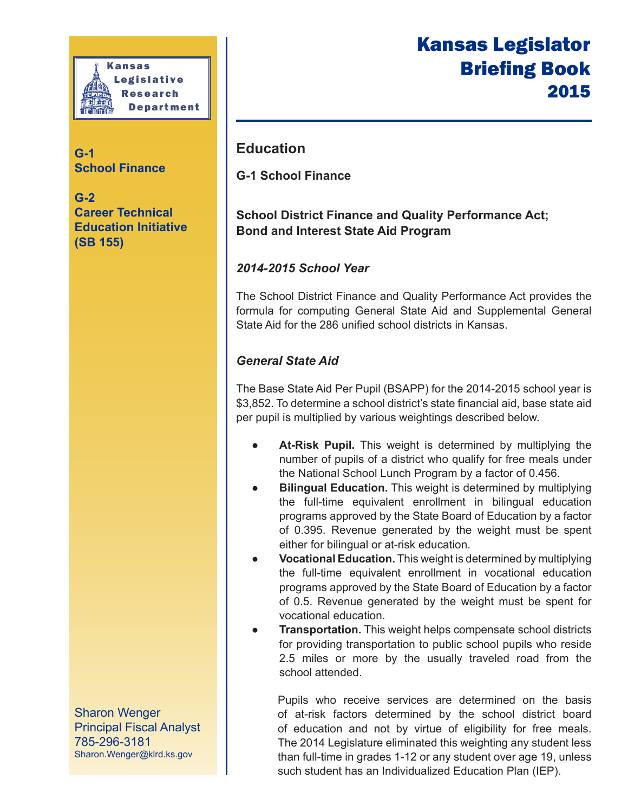

**G-1 School Finance**

**G-2 Career Technical Education Initiative (SB 155)**

Sharon Wenger Principal Fiscal Analyst 785-296-3181 Sharon.Wenger[@klrd.ks.gov](mailto:Michael.Wales@klrd.ks.gov)

# Kansas Legislator Briefing Book 2015

## **Education**

**G-1 School Finance**

## **School District Finance and Quality Performance Act; Bond and Interest State Aid Program**

## *2014-2015 School Year*

The School District Finance and Quality Performance Act provides the formula for computing General State Aid and Supplemental General State Aid for the 286 unified school districts in Kansas.

## *General State Aid*

The Base State Aid Per Pupil (BSAPP) for the 2014-2015 school year is \$3,852. To determine a school district's state financial aid, base state aid per pupil is multiplied by various weightings described below.

- **At-Risk Pupil.** This weight is determined by multiplying the number of pupils of a district who qualify for free meals under the National School Lunch Program by a factor of 0.456.
- **Bilingual Education.** This weight is determined by multiplying the full-time equivalent enrollment in bilingual education programs approved by the State Board of Education by a factor of 0.395. Revenue generated by the weight must be spent either for bilingual or at-risk education.
- **Vocational Education.** This weight is determined by multiplying the full-time equivalent enrollment in vocational education programs approved by the State Board of Education by a factor of 0.5. Revenue generated by the weight must be spent for vocational education.
- **Transportation.** This weight helps compensate school districts for providing transportation to public school pupils who reside 2.5 miles or more by the usually traveled road from the school attended.

Pupils who receive services are determined on the basis of at-risk factors determined by the school district board of education and not by virtue of eligibility for free meals. The 2014 Legislature eliminated this weighting any student less than full-time in grades 1-12 or any student over age 19, unless such student has an Individualized Education Plan (IEP).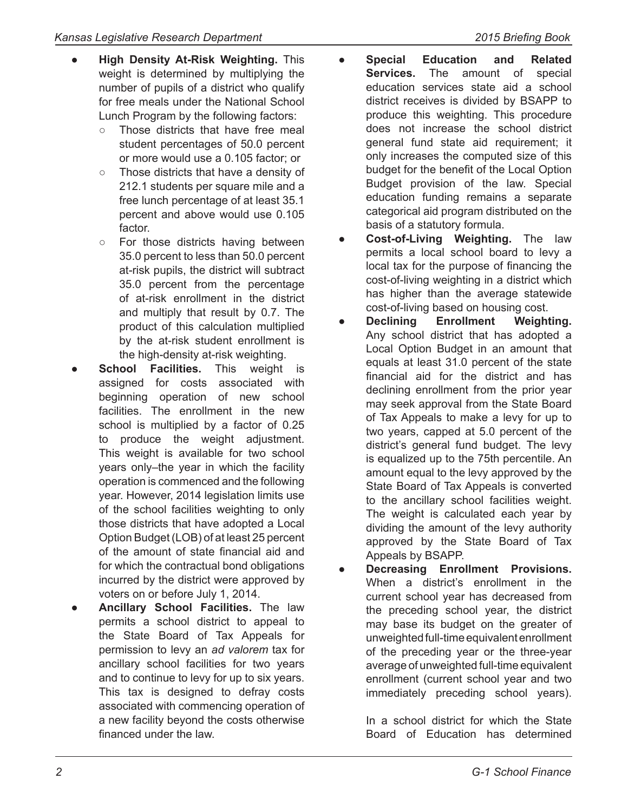- **High Density At-Risk Weighting. This** weight is determined by multiplying the number of pupils of a district who qualify for free meals under the National School Lunch Program by the following factors:
	- Those districts that have free meal student percentages of 50.0 percent or more would use a 0.105 factor; or
	- Those districts that have a density of 212.1 students per square mile and a free lunch percentage of at least 35.1 percent and above would use 0.105 factor.
	- For those districts having between 35.0 percent to less than 50.0 percent at-risk pupils, the district will subtract 35.0 percent from the percentage of at-risk enrollment in the district and multiply that result by 0.7. The product of this calculation multiplied by the at-risk student enrollment is the high-density at-risk weighting.
- **School Facilities.** This weight is assigned for costs associated with beginning operation of new school facilities. The enrollment in the new school is multiplied by a factor of 0.25 to produce the weight adjustment. This weight is available for two school years only–the year in which the facility operation is commenced and the following year. However, 2014 legislation limits use of the school facilities weighting to only those districts that have adopted a Local Option Budget (LOB) of at least 25 percent of the amount of state financial aid and for which the contractual bond obligations incurred by the district were approved by voters on or before July 1, 2014.
- **Ancillary School Facilities.** The law permits a school district to appeal to the State Board of Tax Appeals for permission to levy an *ad valorem* tax for ancillary school facilities for two years and to continue to levy for up to six years. This tax is designed to defray costs associated with commencing operation of a new facility beyond the costs otherwise financed under the law.
- **Special Education and Related Services.** The amount of special education services state aid a school district receives is divided by BSAPP to produce this weighting. This procedure does not increase the school district general fund state aid requirement; it only increases the computed size of this budget for the benefit of the Local Option Budget provision of the law. Special education funding remains a separate categorical aid program distributed on the basis of a statutory formula.
- **Cost-of-Living Weighting.** The law permits a local school board to levy a local tax for the purpose of financing the cost-of-living weighting in a district which has higher than the average statewide cost-of-living based on housing cost.
- **Declining Enrollment Weighting.** Any school district that has adopted a Local Option Budget in an amount that equals at least 31.0 percent of the state financial aid for the district and has declining enrollment from the prior year may seek approval from the State Board of Tax Appeals to make a levy for up to two years, capped at 5.0 percent of the district's general fund budget. The levy is equalized up to the 75th percentile. An amount equal to the levy approved by the State Board of Tax Appeals is converted to the ancillary school facilities weight. The weight is calculated each year by dividing the amount of the levy authority approved by the State Board of Tax Appeals by BSAPP.
- **Decreasing Enrollment Provisions.** When a district's enrollment in the current school year has decreased from the preceding school year, the district may base its budget on the greater of unweighted full-time equivalent enrollment of the preceding year or the three-year average of unweighted full-time equivalent enrollment (current school year and two immediately preceding school years).

In a school district for which the State Board of Education has determined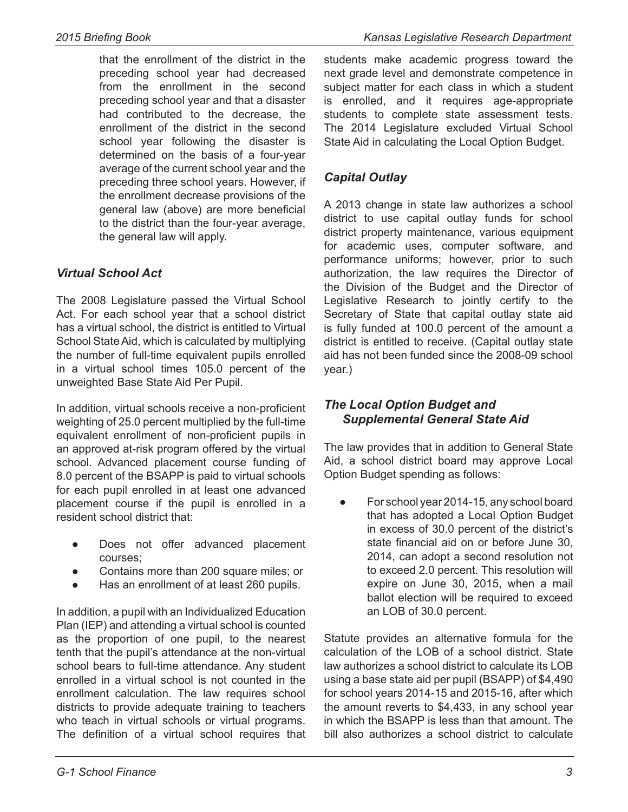that the enrollment of the district in the preceding school year had decreased from the enrollment in the second preceding school year and that a disaster had contributed to the decrease, the enrollment of the district in the second school year following the disaster is determined on the basis of a four-year average of the current school year and the preceding three school years. However, if the enrollment decrease provisions of the general law (above) are more beneficial to the district than the four-year average, the general law will apply.

#### *Virtual School Act*

The 2008 Legislature passed the Virtual School Act. For each school year that a school district has a virtual school, the district is entitled to Virtual School State Aid, which is calculated by multiplying the number of full-time equivalent pupils enrolled in a virtual school times 105.0 percent of the unweighted Base State Aid Per Pupil.

In addition, virtual schools receive a non-proficient weighting of 25.0 percent multiplied by the full-time equivalent enrollment of non-proficient pupils in an approved at-risk program offered by the virtual school. Advanced placement course funding of 8.0 percent of the BSAPP is paid to virtual schools for each pupil enrolled in at least one advanced placement course if the pupil is enrolled in a resident school district that:

- Does not offer advanced placement courses;
- Contains more than 200 square miles; or
- Has an enrollment of at least 260 pupils.

In addition, a pupil with an Individualized Education Plan (IEP) and attending a virtual school is counted as the proportion of one pupil, to the nearest tenth that the pupil's attendance at the non-virtual school bears to full-time attendance. Any student enrolled in a virtual school is not counted in the enrollment calculation. The law requires school districts to provide adequate training to teachers who teach in virtual schools or virtual programs. The definition of a virtual school requires that students make academic progress toward the next grade level and demonstrate competence in subject matter for each class in which a student is enrolled, and it requires age-appropriate students to complete state assessment tests. The 2014 Legislature excluded Virtual School State Aid in calculating the Local Option Budget.

### *Capital Outlay*

A 2013 change in state law authorizes a school district to use capital outlay funds for school district property maintenance, various equipment for academic uses, computer software, and performance uniforms; however, prior to such authorization, the law requires the Director of the Division of the Budget and the Director of Legislative Research to jointly certify to the Secretary of State that capital outlay state aid is fully funded at 100.0 percent of the amount a district is entitled to receive. (Capital outlay state aid has not been funded since the 2008-09 school year.)

#### *The Local Option Budget and Supplemental General State Aid*

The law provides that in addition to General State Aid, a school district board may approve Local Option Budget spending as follows:

For school year 2014-15, any school board that has adopted a Local Option Budget in excess of 30.0 percent of the district's state financial aid on or before June 30, 2014, can adopt a second resolution not to exceed 2.0 percent. This resolution will expire on June 30, 2015, when a mail ballot election will be required to exceed an LOB of 30.0 percent.

Statute provides an alternative formula for the calculation of the LOB of a school district. State law authorizes a school district to calculate its LOB using a base state aid per pupil (BSAPP) of \$4,490 for school years 2014-15 and 2015-16, after which the amount reverts to \$4,433, in any school year in which the BSAPP is less than that amount. The bill also authorizes a school district to calculate